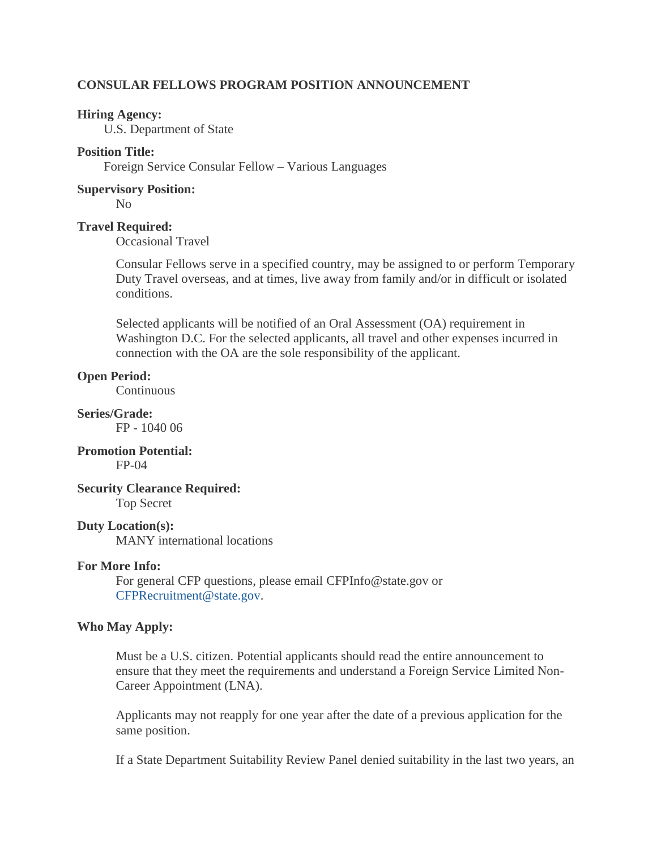## **CONSULAR FELLOWS PROGRAM POSITION ANNOUNCEMENT**

#### **Hiring Agency:**

U.S. Department of State

#### **Position Title:**

Foreign Service Consular Fellow – Various Languages

### **Supervisory Position:**

No

### **Travel Required:**

Occasional Travel

Consular Fellows serve in a specified country, may be assigned to or perform Temporary Duty Travel overseas, and at times, live away from family and/or in difficult or isolated conditions.

Selected applicants will be notified of an Oral Assessment (OA) requirement in Washington D.C. For the selected applicants, all travel and other expenses incurred in connection with the OA are the sole responsibility of the applicant.

### **Open Period:**

Continuous

**Series/Grade:** FP - 1040 06

**Promotion Potential:** FP-04

**Security Clearance Required:** Top Secret

#### **Duty Location(s):**

MANY international locations

## **For More Info:**

For general CFP questions, please email CFPInfo@state.gov or [CFPRecruitment@state.gov.](mailto:CFPRecruitment@state.gov)

### **Who May Apply:**

Must be a U.S. citizen. Potential applicants should read the entire announcement to ensure that they meet the requirements and understand a Foreign Service Limited Non-Career Appointment (LNA).

Applicants may not reapply for one year after the date of a previous application for the same position.

If a State Department Suitability Review Panel denied suitability in the last two years, an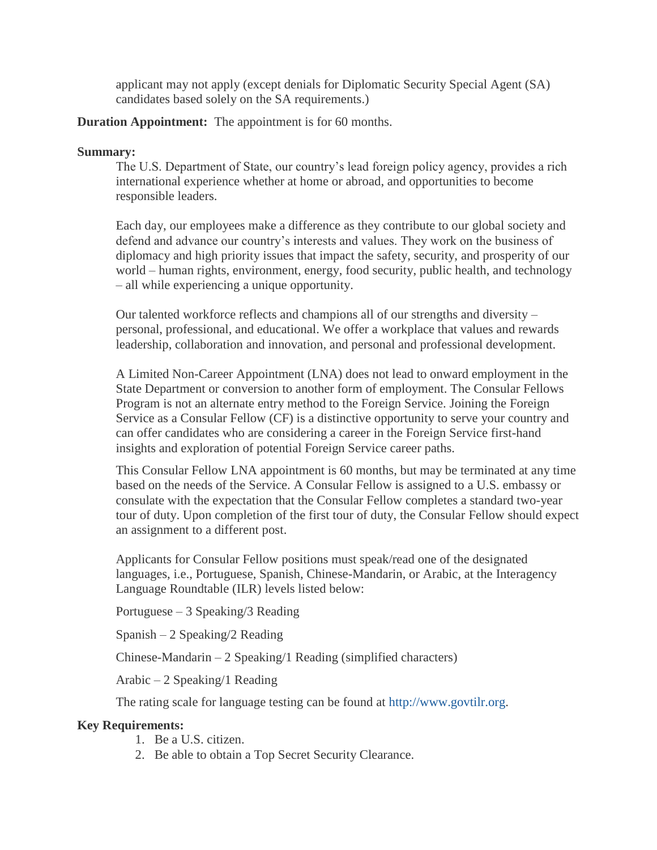applicant may not apply (except denials for Diplomatic Security Special Agent (SA) candidates based solely on the SA requirements.)

## **Duration Appointment:** The appointment is for 60 months.

## **Summary:**

The U.S. Department of State, our country's lead foreign policy agency, provides a rich international experience whether at home or abroad, and opportunities to become responsible leaders.

Each day, our employees make a difference as they contribute to our global society and defend and advance our country's interests and values. They work on the business of diplomacy and high priority issues that impact the safety, security, and prosperity of our world – human rights, environment, energy, food security, public health, and technology – all while experiencing a unique opportunity.

Our talented workforce reflects and champions all of our strengths and diversity – personal, professional, and educational. We offer a workplace that values and rewards leadership, collaboration and innovation, and personal and professional development.

A Limited Non-Career Appointment (LNA) does not lead to onward employment in the State Department or conversion to another form of employment. The Consular Fellows Program is not an alternate entry method to the Foreign Service. Joining the Foreign Service as a Consular Fellow (CF) is a distinctive opportunity to serve your country and can offer candidates who are considering a career in the Foreign Service first-hand insights and exploration of potential Foreign Service career paths.

This Consular Fellow LNA appointment is 60 months, but may be terminated at any time based on the needs of the Service. A Consular Fellow is assigned to a U.S. embassy or consulate with the expectation that the Consular Fellow completes a standard two-year tour of duty. Upon completion of the first tour of duty, the Consular Fellow should expect an assignment to a different post.

Applicants for Consular Fellow positions must speak/read one of the designated languages, i.e., Portuguese, Spanish, Chinese-Mandarin, or Arabic, at the Interagency Language Roundtable (ILR) levels listed below:

Portuguese – 3 Speaking/3 Reading

Spanish – 2 Speaking/2 Reading

Chinese-Mandarin – 2 Speaking/1 Reading (simplified characters)

Arabic – 2 Speaking/1 Reading

The rating scale for language testing can be found at [http://www.govtilr.org.](http://www.govtilr.org/)

## **Key Requirements:**

- 1. Be a U.S. citizen.
- 2. Be able to obtain a Top Secret Security Clearance.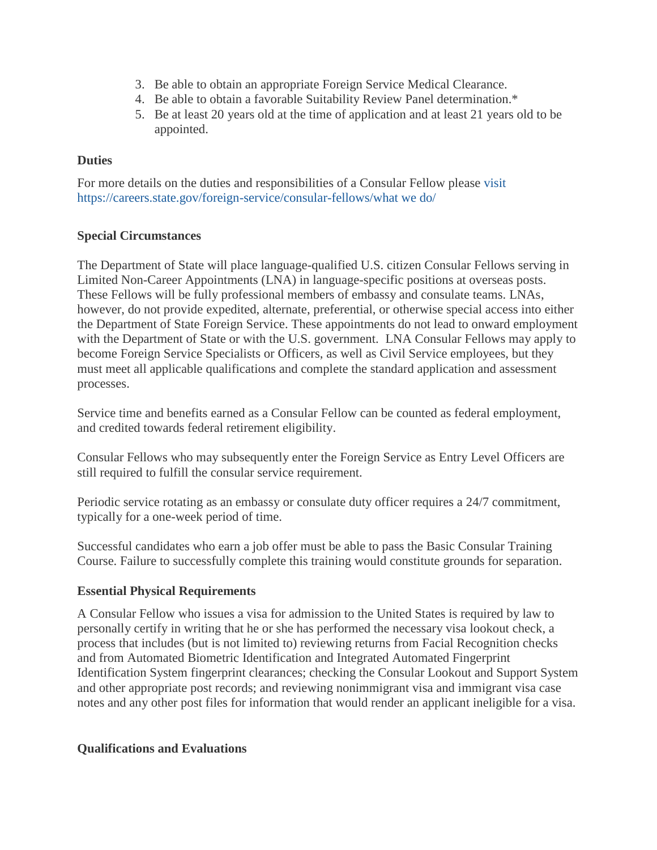- 3. Be able to obtain an appropriate Foreign Service Medical Clearance.
- 4. Be able to obtain a favorable Suitability Review Panel determination.\*
- 5. Be at least 20 years old at the time of application and at least 21 years old to be appointed.

# **Duties**

For more details on the duties and responsibilities of a Consular Fellow please [visit](https://careers.state.gov/foreign-service/consular-fellows/what-we-do)  [https://careers.state.gov/foreign-service/consular-fellows/what we do/](https://careers.state.gov/foreign-service/consular-fellows/what-we-do)

# **Special Circumstances**

The Department of State will place language-qualified U.S. citizen Consular Fellows serving in Limited Non-Career Appointments (LNA) in language-specific positions at overseas posts. These Fellows will be fully professional members of embassy and consulate teams. LNAs, however, do not provide expedited, alternate, preferential, or otherwise special access into either the Department of State Foreign Service. These appointments do not lead to onward employment with the Department of State or with the U.S. government. LNA Consular Fellows may apply to become Foreign Service Specialists or Officers, as well as Civil Service employees, but they must meet all applicable qualifications and complete the standard application and assessment processes.

Service time and benefits earned as a Consular Fellow can be counted as federal employment, and credited towards federal retirement eligibility.

Consular Fellows who may subsequently enter the Foreign Service as Entry Level Officers are still required to fulfill the consular service requirement.

Periodic service rotating as an embassy or consulate duty officer requires a 24/7 commitment, typically for a one-week period of time.

Successful candidates who earn a job offer must be able to pass the Basic Consular Training Course. Failure to successfully complete this training would constitute grounds for separation.

# **Essential Physical Requirements**

A Consular Fellow who issues a visa for admission to the United States is required by law to personally certify in writing that he or she has performed the necessary visa lookout check, a process that includes (but is not limited to) reviewing returns from Facial Recognition checks and from Automated Biometric Identification and Integrated Automated Fingerprint Identification System fingerprint clearances; checking the Consular Lookout and Support System and other appropriate post records; and reviewing nonimmigrant visa and immigrant visa case notes and any other post files for information that would render an applicant ineligible for a visa.

# **Qualifications and Evaluations**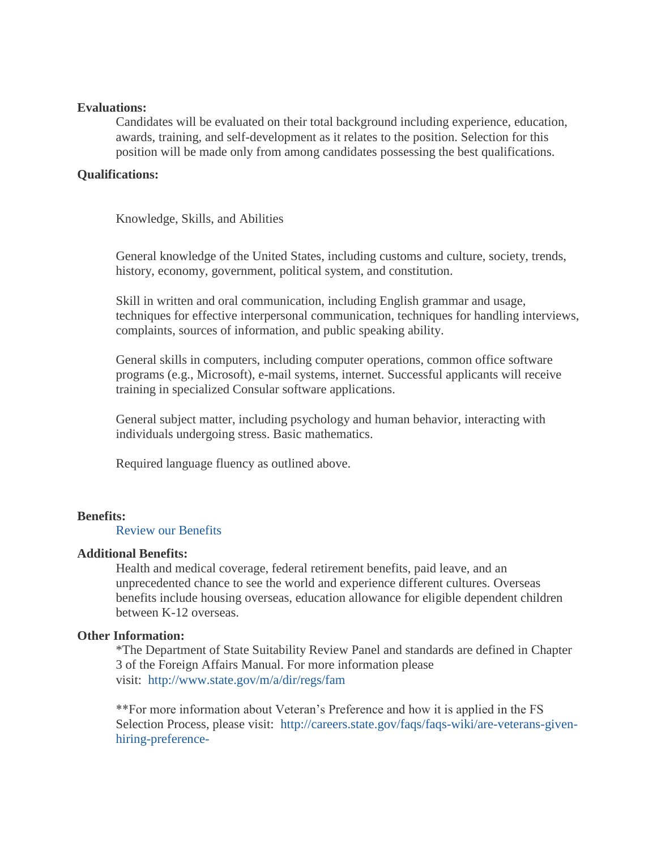### **Evaluations:**

Candidates will be evaluated on their total background including experience, education, awards, training, and self-development as it relates to the position. Selection for this position will be made only from among candidates possessing the best qualifications.

## **Qualifications:**

Knowledge, Skills, and Abilities

General knowledge of the United States, including customs and culture, society, trends, history, economy, government, political system, and constitution.

Skill in written and oral communication, including English grammar and usage, techniques for effective interpersonal communication, techniques for handling interviews, complaints, sources of information, and public speaking ability.

General skills in computers, including computer operations, common office software programs (e.g., Microsoft), e-mail systems, internet. Successful applicants will receive training in specialized Consular software applications.

General subject matter, including psychology and human behavior, interacting with individuals undergoing stress. Basic mathematics.

Required language fluency as outlined above.

### **Benefits:**

### [Review our Benefits](https://careers.state.gov/work/foreign-service/consular-fellows/)

#### **Additional Benefits:**

Health and medical coverage, federal retirement benefits, paid leave, and an unprecedented chance to see the world and experience different cultures. Overseas benefits include housing overseas, education allowance for eligible dependent children between K-12 overseas.

### **Other Information:**

\*The Department of State Suitability Review Panel and standards are defined in Chapter 3 of the Foreign Affairs Manual. For more information please visit: <http://www.state.gov/m/a/dir/regs/fam>

\*\*For more information about Veteran's Preference and how it is applied in the FS Selection Process, please visit: [http://careers.state.gov/faqs/faqs-wiki/are-veterans-given](http://careers.state.gov/faqs/faqs-wiki/are-veterans-given-hiring-preference-)[hiring-preference-](http://careers.state.gov/faqs/faqs-wiki/are-veterans-given-hiring-preference-)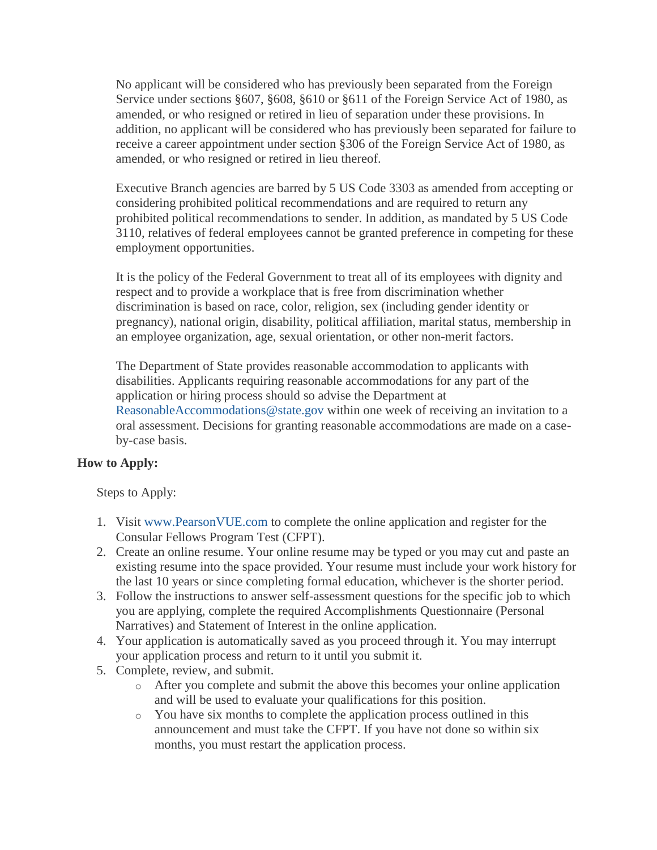No applicant will be considered who has previously been separated from the Foreign Service under sections §607, §608, §610 or §611 of the Foreign Service Act of 1980, as amended, or who resigned or retired in lieu of separation under these provisions. In addition, no applicant will be considered who has previously been separated for failure to receive a career appointment under section §306 of the Foreign Service Act of 1980, as amended, or who resigned or retired in lieu thereof.

Executive Branch agencies are barred by 5 US Code 3303 as amended from accepting or considering prohibited political recommendations and are required to return any prohibited political recommendations to sender. In addition, as mandated by 5 US Code 3110, relatives of federal employees cannot be granted preference in competing for these employment opportunities.

It is the policy of the Federal Government to treat all of its employees with dignity and respect and to provide a workplace that is free from discrimination whether discrimination is based on race, color, religion, sex (including gender identity or pregnancy), national origin, disability, political affiliation, marital status, membership in an employee organization, age, sexual orientation, or other non-merit factors.

The Department of State provides reasonable accommodation to applicants with disabilities. Applicants requiring reasonable accommodations for any part of the application or hiring process should so advise the Department at [ReasonableAccommodations@state.gov](mailto:ReasonableAccommodations@state.gov) within one week of receiving an invitation to a oral assessment. Decisions for granting reasonable accommodations are made on a caseby-case basis.

# **How to Apply:**

## Steps to Apply:

- 1. Visit [www.PearsonVUE.com](http://www.pearsonvue.com/) to complete the online application and register for the Consular Fellows Program Test (CFPT).
- 2. Create an online resume. Your online resume may be typed or you may cut and paste an existing resume into the space provided. Your resume must include your work history for the last 10 years or since completing formal education, whichever is the shorter period.
- 3. Follow the instructions to answer self-assessment questions for the specific job to which you are applying, complete the required Accomplishments Questionnaire (Personal Narratives) and Statement of Interest in the online application.
- 4. Your application is automatically saved as you proceed through it. You may interrupt your application process and return to it until you submit it.
- 5. Complete, review, and submit.
	- o After you complete and submit the above this becomes your online application and will be used to evaluate your qualifications for this position.
	- o You have six months to complete the application process outlined in this announcement and must take the CFPT. If you have not done so within six months, you must restart the application process.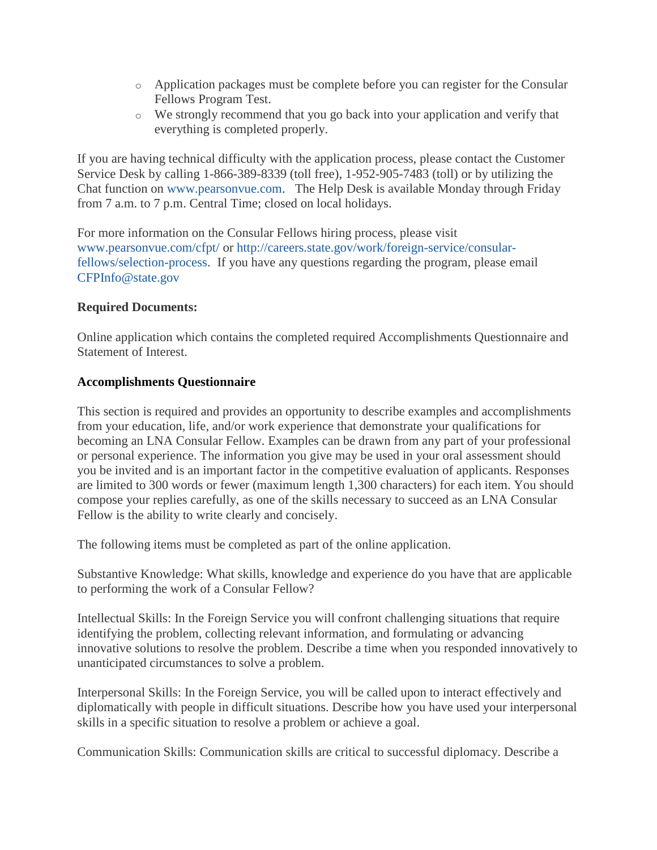- o Application packages must be complete before you can register for the Consular Fellows Program Test.
- o We strongly recommend that you go back into your application and verify that everything is completed properly.

If you are having technical difficulty with the application process, please contact the Customer Service Desk by calling 1-866-389-8339 (toll free), 1-952-905-7483 (toll) or by utilizing the Chat function on [www.pearsonvue.com.](http://www.pearsonvue.com/) The Help Desk is available Monday through Friday from 7 a.m. to 7 p.m. Central Time; closed on local holidays.

For more information on the Consular Fellows hiring process, please visit [www.pearsonvue.com/cfpt/](http://www.pearsonvue.com/cfpt/) or [http://careers.state.gov/work/foreign-service/consular](http://careers.state.gov/work/foreign-service/consular-fellows/selection-process)[fellows/selection-process.](http://careers.state.gov/work/foreign-service/consular-fellows/selection-process) If you have any questions regarding the program, please email [CFPInfo@state.gov](mailto:CFPInfo@state.gov)

# **Required Documents:**

Online application which contains the completed required Accomplishments Questionnaire and Statement of Interest.

# **Accomplishments Questionnaire**

This section is required and provides an opportunity to describe examples and accomplishments from your education, life, and/or work experience that demonstrate your qualifications for becoming an LNA Consular Fellow. Examples can be drawn from any part of your professional or personal experience. The information you give may be used in your oral assessment should you be invited and is an important factor in the competitive evaluation of applicants. Responses are limited to 300 words or fewer (maximum length 1,300 characters) for each item. You should compose your replies carefully, as one of the skills necessary to succeed as an LNA Consular Fellow is the ability to write clearly and concisely.

The following items must be completed as part of the online application.

Substantive Knowledge: What skills, knowledge and experience do you have that are applicable to performing the work of a Consular Fellow?

Intellectual Skills: In the Foreign Service you will confront challenging situations that require identifying the problem, collecting relevant information, and formulating or advancing innovative solutions to resolve the problem. Describe a time when you responded innovatively to unanticipated circumstances to solve a problem.

Interpersonal Skills: In the Foreign Service, you will be called upon to interact effectively and diplomatically with people in difficult situations. Describe how you have used your interpersonal skills in a specific situation to resolve a problem or achieve a goal.

Communication Skills: Communication skills are critical to successful diplomacy. Describe a